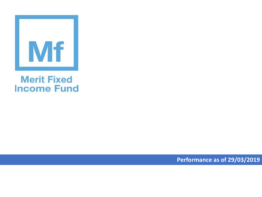

## **Merit Fixed Income Fund**

**Performance as of 29/03/2019**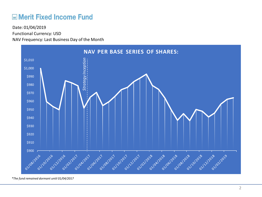## **ME Merit Fixed Income Fund**

Functional Currency: USD NAV Frequency: Last Business Day of the Month